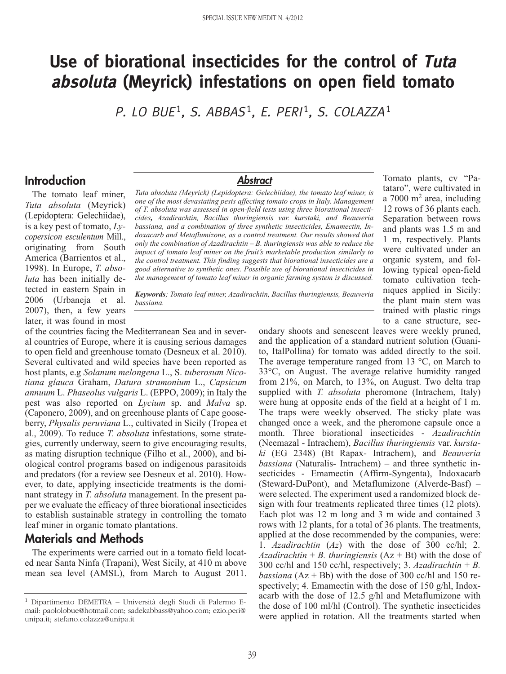# **Use of biorational insecticides for the control of Tuta absoluta (Meyrick) infestations on open field tomato**

P. LO BUE<sup>1</sup>, S. ABBAS<sup>1</sup>, E. PERI<sup>1</sup>, S. COLAZZA<sup>1</sup>

### **Introduction**

The tomato leaf miner, *Tuta absoluta* (Meyrick) (Lepidoptera: Gelechiidae), is a key pest of tomato, *Lycopersicon esculentum* Mill., originating from South America (Barrientos et al., 1998). In Europe, *T. absoluta* has been initially detected in eastern Spain in 2006 (Urbaneja et al. 2007), then, a few years later, it was found in most

#### *Abstract*

*Tuta absoluta (Meyrick) (Lepidoptera: Gelechiidae), the tomato leaf miner, is one of the most devastating pests affecting tomato crops in Italy. Management of T. absoluta was assessed in open-field tests using three biorational insecticides, Azadirachtin, Bacillus thuringiensis var. kurstaki, and Beauveria bassiana, and a combination of three synthetic insecticides, Emamectin, Indoxacarb and Metaflumizone, as a control treatment. Our results showed that only the combination of Azadirachtin – B. thuringiensis was able to reduce the impact of tomato leaf miner on the fruit's marketable production similarly to the control treatment. This finding suggests that biorational insecticides are a good alternative to synthetic ones. Possible use of biorational insecticides in the management of tomato leaf miner in organic farming system is discussed.*

Tomato plants, cv "Patataro", were cultivated in a  $7000 \text{ m}^2$  area, including 12 rows of 36 plants each. Separation between rows and plants was 1.5 m and 1 m, respectively. Plants were cultivated under an organic system, and following typical open-field tomato cultivation techniques applied in Sicily: the plant main stem was trained with plastic rings to a cane structure, sec-

*Keywords; Tomato leaf miner, Azadirachtin, Bacillus thuringiensis, Beauveria bassiana.*

of the countries facing the Mediterranean Sea and in several countries of Europe, where it is causing serious damages to open field and greenhouse tomato (Desneux et al. 2010). Several cultivated and wild species have been reported as host plants, e.g *Solanum melongena* L., S. *tuberosum Nicotiana glauca* Graham, *Datura stramonium* L., *Capsicum annuum* L. *Phaseolus vulgaris* L. (EPPO, 2009); in Italy the pest was also reported on *Lycium* sp. and *Malva* sp. (Caponero, 2009), and on greenhouse plants of Cape gooseberry, *Physalis peruviana* L., cultivated in Sicily (Tropea et al., 2009). To reduce *T. absoluta* infestations, some strategies, currently underway, seem to give encouraging results, as mating disruption technique (Filho et al., 2000), and biological control programs based on indigenous parasitoids and predators (for a review see Desneux et al. 2010). However, to date, applying insecticide treatments is the dominant strategy in *T. absoluta* management. In the present paper we evaluate the efficacy of three biorational insecticides to establish sustainable strategy in controlling the tomato leaf miner in organic tomato plantations.

## **Materials and Methods**

The experiments were carried out in a tomato field located near Santa Ninfa (Trapani), West Sicily, at 410 m above mean sea level (AMSL), from March to August 2011.

ondary shoots and senescent leaves were weekly pruned, and the application of a standard nutrient solution (Guanito, ItalPollina) for tomato was added directly to the soil. The average temperature ranged from 13  $\degree$ C, on March to 33°C, on August. The average relative humidity ranged from 21%, on March, to 13%, on August. Two delta trap supplied with *T. absoluta* pheromone (Intrachem, Italy) were hung at opposite ends of the field at a height of 1 m. The traps were weekly observed. The sticky plate was changed once a week, and the pheromone capsule once a month. Three biorational insecticides - *Azadirachtin* (Neemazal - Intrachem), *Bacillus thuringiensis* var. *kurstaki* (EG 2348) (Bt Rapax- Intrachem), and *Beauveria bassiana* (Naturalis- Intrachem) – and three synthetic insecticides - Emamectin (Affirm-Syngenta), Indoxacarb (Steward-DuPont), and Metaflumizone (Alverde-Basf) – were selected. The experiment used a randomized block design with four treatments replicated three times (12 plots). Each plot was 12 m long and 3 m wide and contained 3 rows with 12 plants, for a total of 36 plants. The treatments, applied at the dose recommended by the companies, were: 1. *Azadirachtin* (*Az*) with the dose of 300 cc/hl; 2. *Azadirachtin* + *B. thuringiensis*  $(Az + Bt)$  with the dose of 300 cc/hl and 150 cc/hl, respectively; 3. *Azadirachtin* + *B. bassiana* ( $Az + Bb$ ) with the dose of 300 cc/hl and 150 respectively; 4. Emamectin with the dose of 150 g/hl, Indoxacarb with the dose of 12.5 g/hl and Metaflumizone with the dose of 100 ml/hl (Control). The synthetic insecticides were applied in rotation. All the treatments started when

<sup>1</sup> Dipartimento DEMETRA – Università degli Studi di Palermo Email: paololobue@hotmail.com; sadekabbass@yahoo.com; ezio.peri@ unipa.it; stefano.colazza@unipa.it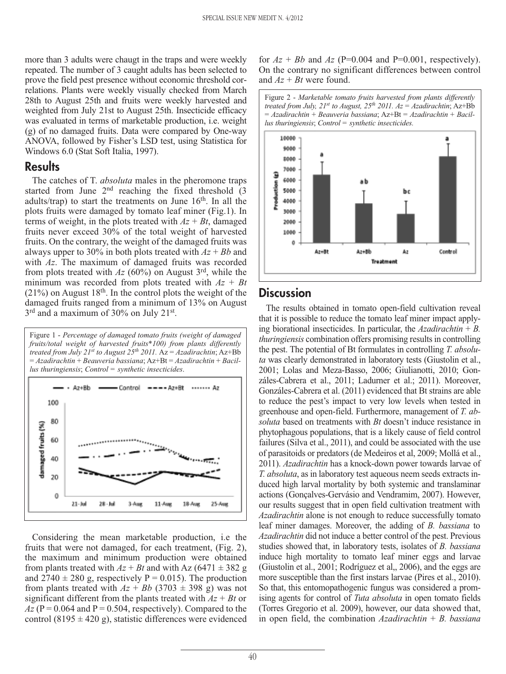more than 3 adults were chaugt in the traps and were weekly repeated. The number of 3 caught adults has been selected to prove the field pest presence without economic threshold correlations. Plants were weekly visually checked from March 28th to August 25th and fruits were weekly harvested and weighted from July 21st to August 25th. Insecticide efficacy was evaluated in terms of marketable production, i.e. weight (g) of no damaged fruits. Data were compared by One-way ANOVA, followed by Fisher's LSD test, using Statistica for Windows 6.0 (Stat Soft Italia, 1997).

#### **Results**

The catches of T. *absoluta* males in the pheromone traps started from June 2<sup>nd</sup> reaching the fixed threshold (3) adults/trap) to start the treatments on June  $16<sup>th</sup>$ . In all the plots fruits were damaged by tomato leaf miner (Fig.1). In terms of weight, in the plots treated with  $Az + Bt$ , damaged fruits never exceed 30% of the total weight of harvested fruits. On the contrary, the weight of the damaged fruits was always upper to 30% in both plots treated with *Az* + *Bb* and with *Az*. The maximum of damaged fruits was recorded from plots treated with *Az* (60%) on August 3rd, while the minimum was recorded from plots treated with *Az* + *Bt*  $(21\%)$  on August 18<sup>th</sup>. In the control plots the weight of the damaged fruits ranged from a minimum of 13% on August 3<sup>rd</sup> and a maximum of 30% on July 21<sup>st</sup>.



Considering the mean marketable production, i.e the fruits that were not damaged, for each treatment, (Fig. 2), the maximum and minimum production were obtained from plants treated with  $Az + Bt$  and with Az (6471  $\pm$  382 g and  $2740 \pm 280$  g, respectively P = 0.015). The production from plants treated with  $Az + Bb$  (3703  $\pm$  398 g) was not significant different from the plants treated with  $Az + Bt$  or  $Az$  (P = 0.064 and P = 0.504, respectively). Compared to the control (8195  $\pm$  420 g), statistic differences were evidenced for  $Az + Bb$  and  $Az$  (P=0.004 and P=0.001, respectively). On the contrary no significant differences between control and *Az* + *Bt* were found.





# **Discussion**

The results obtained in tomato open-field cultivation reveal that it is possible to reduce the tomato leaf miner impact applying biorational insecticides. In particular, the *Azadirachtin* + *B. thuringiensis* combination offers promising results in controlling the pest. The potential of Bt formulates in controlling *T. absoluta* was clearly demonstrated in laboratory tests (Giustolin et al., 2001; Lolas and Meza-Basso, 2006; Giulianotti, 2010; Gonzáles-Cabrera et al., 2011; Ladurner et al.; 2011). Moreover, Gonzáles-Cabrera et al. (2011) evidenced that Bt strains are able to reduce the pest's impact to very low levels when tested in greenhouse and open-field. Furthermore, management of *T. absoluta* based on treatments with *Bt* doesn't induce resistance in phytophagous populations, that is a likely cause of field control failures (Silva et al., 2011), and could be associated with the use of parasitoids or predators (de Medeiros et al, 2009; Mollá et al., 2011). *Azadirachtin* has a knock-down power towards larvae of *T. absoluta*, as in laboratory test aqueous neem seeds extracts induced high larval mortality by both systemic and translaminar actions (Gonçalves-Gervásio and Vendramim, 2007). However, our results suggest that in open field cultivation treatment with *Azadirachtin* alone is not enough to reduce successfully tomato leaf miner damages. Moreover, the adding of *B. bassiana* to *Azadirachtin* did not induce a better control of the pest. Previous studies showed that, in laboratory tests, isolates of *B. bassiana* induce high mortality to tomato leaf miner eggs and larvae (Giustolin et al., 2001; Rodríguez et al,, 2006), and the eggs are more susceptible than the first instars larvae (Pires et al., 2010). So that, this entomopathogenic fungus was considered a promising agents for control of *Tuta absoluta* in open tomato fields (Torres Gregorio et al. 2009), however, our data showed that, in open field, the combination *Azadirachtin* + *B. bassiana*